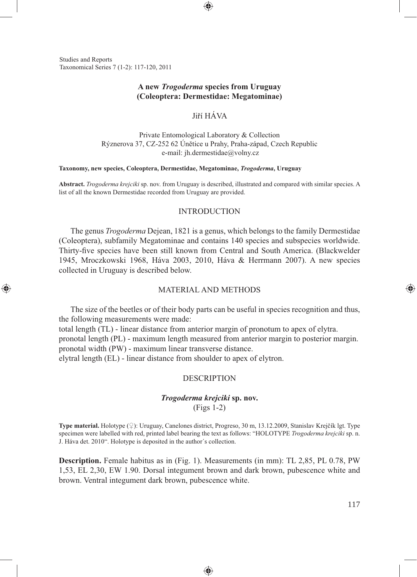Studies and Reports Taxonomical Series 7 (1-2): 117-120, 2011

⊕

## **A new** *Trogoderma* **species from Uruguay (Coleoptera: Dermestidae: Megatominae)**

⊕

## Jiří HÁVA

Private Entomological Laboratory & Collection Rýznerova 37, CZ-252 62 Únětice u Prahy, Praha-západ, Czech Republic e-mail: jh.dermestidae@volny.cz

#### **Taxonomy, new species, Coleoptera, Dermestidae, Megatominae,** *Trogoderma***, Uruguay**

**Abstract.** *Trogoderma krejciki* sp. nov. from Uruguay is described, illustrated and compared with similar species. A list of all the known Dermestidae recorded from Uruguay are provided.

### INTRODUCTION

The genus *Trogoderma* Dejean, 1821 is a genus, which belongs to the family Dermestidae (Coleoptera), subfamily Megatominae and contains 140 species and subspecies worldwide. Thirty-five species have been still known from Central and South America. (Blackwelder 1945, Mroczkowski 1968, Háva 2003, 2010, Háva & Herrmann 2007). A new species collected in Uruguay is described below.

### MATERIAL AND METHODS

The size of the beetles or of their body parts can be useful in species recognition and thus, the following measurements were made:

total length (TL) - linear distance from anterior margin of pronotum to apex of elytra. pronotal length (PL) - maximum length measured from anterior margin to posterior margin. pronotal width (PW) - maximum linear transverse distance. elytral length (EL) - linear distance from shoulder to apex of elytron.

#### DESCRIPTION

# *Trogoderma krejciki* **sp. nov.** (Figs 1-2)

**Type material.** Holotype (♀): Uruguay, Canelones district, Progreso, 30 m, 13.12.2009, Stanislav Krejčík lgt. Type specimen were labelled with red, printed label bearing the text as follows: "HOLOTYPE *Trogoderma krejciki* sp. n. J. Háva det. 2010". Holotype is deposited in the author´s collection.

**Description.** Female habitus as in (Fig. 1). Measurements (in mm): TL 2,85, PL 0.78, PW 1,53, EL 2,30, EW 1.90. Dorsal integument brown and dark brown, pubescence white and brown. Ventral integument dark brown, pubescence white.

◈

⊕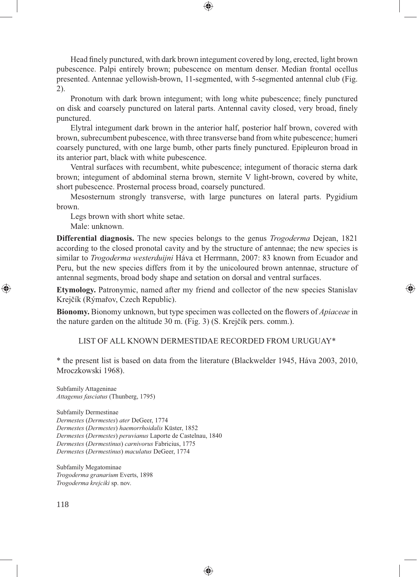Head finely punctured, with dark brown integument covered by long, erected, light brown pubescence. Palpi entirely brown; pubescence on mentum denser. Median frontal ocellus presented. Antennae yellowish-brown, 11-segmented, with 5-segmented antennal club (Fig. 2).

⊕

Pronotum with dark brown integument; with long white pubescence; finely punctured on disk and coarsely punctured on lateral parts. Antennal cavity closed, very broad, finely punctured.

Elytral integument dark brown in the anterior half, posterior half brown, covered with brown, subrecumbent pubescence, with three transverse band from white pubescence; humeri coarsely punctured, with one large bumb, other parts finely punctured. Epipleuron broad in its anterior part, black with white pubescence.

Ventral surfaces with recumbent, white pubescence; integument of thoracic sterna dark brown; integument of abdominal sterna brown, sternite V light-brown, covered by white, short pubescence. Prosternal process broad, coarsely punctured.

Mesosternum strongly transverse, with large punctures on lateral parts. Pygidium brown.

Legs brown with short white setae. Male: unknown.

**Differential diagnosis.** The new species belongs to the genus *Trogoderma* Dejean, 1821 according to the closed pronotal cavity and by the structure of antennae; the new species is similar to *Trogoderma westerduijni* Háva et Herrmann, 2007: 83 known from Ecuador and Peru, but the new species differs from it by the unicoloured brown antennae, structure of antennal segments, broad body shape and setation on dorsal and ventral surfaces.

**Etymology.** Patronymic, named after my friend and collector of the new species Stanislav Krejčík (Rýmařov, Czech Republic).

⊕

**Bionomy.** Bionomy unknown, but type specimen was collected on the flowers of *Apiaceae* in the nature garden on the altitude 30 m. (Fig. 3) (S. Krejčík pers. comm.).

LIST OF ALL KNOWN DERMESTIDAE RECORDED FROM URUGUAY\*

\* the present list is based on data from the literature (Blackwelder 1945, Háva 2003, 2010, Mroczkowski 1968).

◈

Subfamily Attageninae *Attagenus fasciatus* (Thunberg, 1795)

Subfamily Dermestinae *Dermestes* (*Dermestes*) *ater* DeGeer, 1774 *Dermestes* (*Dermestes*) *haemorrhoidalis* Küster, 1852 *Dermestes* (*Dermestes*) *peruvianus* Laporte de Castelnau, 1840 *Dermestes* (*Dermestinus*) *carnivorus* Fabricius, 1775 *Dermestes* (*Dermestinus*) *maculatus* DeGeer, 1774

Subfamily Megatominae *Trogoderma granarium* Everts, 1898 *Trogoderma krejciki* sp. nov.

⊕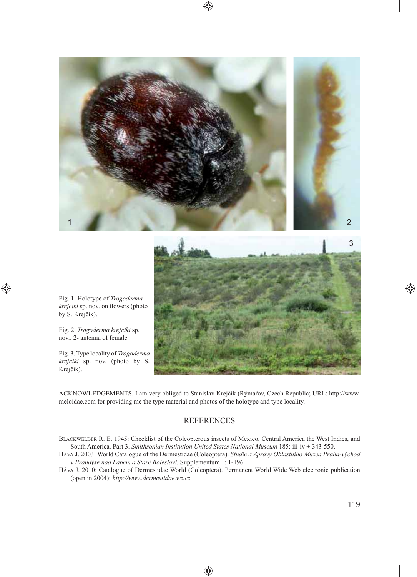

Fig. 1. Holotype of *Trogoderma krejciki* sp. nov. on flowers (photo by S. Krejčík).

◈

Fig. 2. *Trogoderma krejciki* sp. nov.: 2- antenna of female.

Fig. 3. Type locality of *Trogoderma krejciki* sp. nov. (photo by S. Krejčík).



ACKNOWLEDGEMENTS. I am very obliged to Stanislav Krejčík (Rýmařov, Czech Republic; URL: http://www. meloidae.com for providing me the type material and photos of the holotype and type locality.

### **REFERENCES**

BLACKWELDER R. E. 1945: Checklist of the Coleopterous insects of Mexico, Central America the West Indies, and South America. Part 3. *Smithsonian Institution United States National Museum* 185: iii-iv + 343-550.

- HÁVA J. 2003: World Catalogue of the Dermestidae (Coleoptera). *Studie a Zprávy Oblastního Muzea Praha-východ v Brandýse nad Labem a Staré Boleslavi*, Supplementum 1: 1-196.
- HÁVA J. 2010: Catalogue of Dermestidae World (Coleoptera). Permanent World Wide Web electronic publication (open in 2004): *http://www.dermestidae.wz.cz*

◈